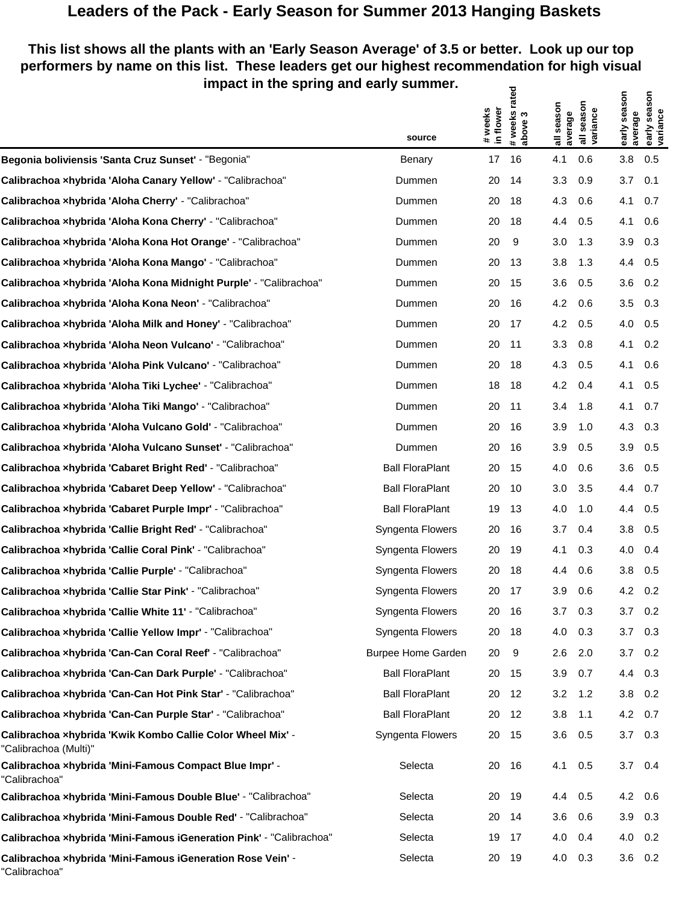## **Leaders of the Pack - Early Season for Summer 2013 Hanging Baskets**

## **This list shows all the plants with an 'Early Season Average' of 3.5 or better. Look up our top performers by name on this list. These leaders get our highest recommendation for high visual impact in the spring and early summer.** ਨ੍ਹ  $\epsilon$   $\epsilon$

| .                                                                                   |                           |                      | #weeks rated<br>above 3 |                       |                        |                         | season                |
|-------------------------------------------------------------------------------------|---------------------------|----------------------|-------------------------|-----------------------|------------------------|-------------------------|-----------------------|
|                                                                                     | source                    | # weeks<br>in flower |                         | all season<br>average | all season<br>variance | early season<br>average | early sea<br>variance |
| Begonia boliviensis 'Santa Cruz Sunset' - "Begonia"                                 | Benary                    | 17                   | 16                      | 4.1                   | 0.6                    | 3.8                     | 0.5                   |
| Calibrachoa xhybrida 'Aloha Canary Yellow' - "Calibrachoa"                          | Dummen                    | 20                   | 14                      | 3.3                   | 0.9                    | 3.7                     | 0.1                   |
| Calibrachoa xhybrida 'Aloha Cherry' - "Calibrachoa"                                 | Dummen                    | 20                   | 18                      | 4.3                   | 0.6                    | 4.1                     | 0.7                   |
| Calibrachoa xhybrida 'Aloha Kona Cherry' - "Calibrachoa"                            | Dummen                    | 20                   | 18                      | 4.4                   | 0.5                    | 4.1                     | 0.6                   |
| Calibrachoa xhybrida 'Aloha Kona Hot Orange' - "Calibrachoa"                        | Dummen                    | 20                   | 9                       | 3.0                   | 1.3                    | 3.9                     | 0.3                   |
| Calibrachoa xhybrida 'Aloha Kona Mango' - "Calibrachoa"                             | Dummen                    | 20                   | -13                     | 3.8                   | 1.3                    | 4.4                     | 0.5                   |
| Calibrachoa xhybrida 'Aloha Kona Midnight Purple' - "Calibrachoa"                   | Dummen                    | 20                   | 15                      | 3.6                   | 0.5                    | 3.6                     | 0.2                   |
| Calibrachoa xhybrida 'Aloha Kona Neon' - "Calibrachoa"                              | Dummen                    | 20                   | -16                     | 4.2                   | 0.6                    | 3.5                     | 0.3                   |
| Calibrachoa xhybrida 'Aloha Milk and Honey' - "Calibrachoa"                         | Dummen                    | 20                   | -17                     | 4.2                   | 0.5                    | 4.0                     | 0.5                   |
| Calibrachoa xhybrida 'Aloha Neon Vulcano' - "Calibrachoa"                           | Dummen                    | 20                   | -11                     | 3.3                   | 0.8                    | 4.1                     | 0.2                   |
| Calibrachoa xhybrida 'Aloha Pink Vulcano' - "Calibrachoa"                           | Dummen                    | 20                   | 18                      | 4.3                   | 0.5                    | 4.1                     | 0.6                   |
| Calibrachoa xhybrida 'Aloha Tiki Lychee' - "Calibrachoa"                            | Dummen                    | 18                   | 18                      | 4.2                   | 0.4                    | 4.1                     | 0.5                   |
| Calibrachoa xhybrida 'Aloha Tiki Mango' - "Calibrachoa"                             | Dummen                    | 20                   | -11                     | 3.4                   | 1.8                    | 4.1                     | 0.7                   |
| Calibrachoa xhybrida 'Aloha Vulcano Gold' - "Calibrachoa"                           | Dummen                    | 20                   | -16                     | 3.9                   | 1.0                    | 4.3                     | 0.3                   |
| Calibrachoa xhybrida 'Aloha Vulcano Sunset' - "Calibrachoa"                         | Dummen                    | 20                   | -16                     | 3.9                   | 0.5                    | 3.9                     | 0.5                   |
| Calibrachoa xhybrida 'Cabaret Bright Red' - "Calibrachoa"                           | <b>Ball FloraPlant</b>    | 20                   | - 15                    | 4.0                   | 0.6                    | 3.6                     | 0.5                   |
| Calibrachoa xhybrida 'Cabaret Deep Yellow' - "Calibrachoa"                          | <b>Ball FloraPlant</b>    | 20                   | -10                     | 3.0                   | 3.5                    | 4.4                     | 0.7                   |
| Calibrachoa xhybrida 'Cabaret Purple Impr' - "Calibrachoa"                          | <b>Ball FloraPlant</b>    | 19                   | 13                      | 4.0                   | 1.0                    | 4.4                     | 0.5                   |
| Calibrachoa xhybrida 'Callie Bright Red' - "Calibrachoa"                            | Syngenta Flowers          | 20                   | -16                     | 3.7                   | 0.4                    | 3.8                     | 0.5                   |
| Calibrachoa xhybrida 'Callie Coral Pink' - "Calibrachoa"                            | Syngenta Flowers          | 20                   | 19                      | 4.1                   | 0.3                    | 4.0                     | 0.4                   |
| Calibrachoa xhybrida 'Callie Purple' - "Calibrachoa"                                | Syngenta Flowers          | 20                   | 18                      | 4.4                   | 0.6                    | 3.8                     | 0.5                   |
| Calibrachoa xhybrida 'Callie Star Pink' - "Calibrachoa"                             | Syngenta Flowers          | 20                   | 17                      | 3.9                   | 0.6                    | 4.2                     | 0.2                   |
| Calibrachoa xhybrida 'Callie White 11' - "Calibrachoa"                              | Syngenta Flowers          |                      | 20 16                   | $3.7\quad 0.3$        |                        | 3.7                     | 0.2                   |
| Calibrachoa xhybrida 'Callie Yellow Impr' - "Calibrachoa"                           | Syngenta Flowers          | 20                   | 18                      | 4.0                   | 0.3                    | 3.7                     | 0.3                   |
| Calibrachoa xhybrida 'Can-Can Coral Reef' - "Calibrachoa"                           | <b>Burpee Home Garden</b> | 20                   | 9                       | 2.6                   | 2.0                    | 3.7                     | 0.2                   |
| Calibrachoa xhybrida 'Can-Can Dark Purple' - "Calibrachoa"                          | <b>Ball FloraPlant</b>    | 20                   | 15                      | 3.9                   | 0.7                    | 4.4                     | 0.3                   |
| Calibrachoa xhybrida 'Can-Can Hot Pink Star' - "Calibrachoa"                        | <b>Ball FloraPlant</b>    | 20                   | 12                      | 3.2                   | 1.2                    | 3.8                     | 0.2                   |
| Calibrachoa xhybrida 'Can-Can Purple Star' - "Calibrachoa"                          | <b>Ball FloraPlant</b>    | 20                   | 12                      | 3.8                   | 1.1                    | 4.2                     | 0.7                   |
| Calibrachoa xhybrida 'Kwik Kombo Callie Color Wheel Mix' -<br>"Calibrachoa (Multi)" | Syngenta Flowers          | 20                   | - 15                    | 3.6                   | 0.5                    | 3.7                     | 0.3                   |
| Calibrachoa xhybrida 'Mini-Famous Compact Blue Impr' -<br>"Calibrachoa"             | Selecta                   | 20                   | 16                      | 4.1                   | 0.5                    | 3.7                     | 0.4                   |
| Calibrachoa xhybrida 'Mini-Famous Double Blue' - "Calibrachoa"                      | Selecta                   | 20                   | - 19                    | 4.4                   | 0.5                    | 4.2                     | 0.6                   |
| Calibrachoa xhybrida 'Mini-Famous Double Red' - "Calibrachoa"                       | Selecta                   | 20                   | - 14                    | 3.6                   | 0.6                    | 3.9                     | 0.3                   |
| Calibrachoa xhybrida 'Mini-Famous iGeneration Pink' - "Calibrachoa"                 | Selecta                   | 19                   | 17                      | 4.0                   | 0.4                    | 4.0                     | 0.2                   |
| Calibrachoa xhybrida 'Mini-Famous iGeneration Rose Vein' -<br>"Calibrachoa"         | Selecta                   | 20                   | 19                      | 4.0                   | 0.3                    |                         | $3.6$ 0.2             |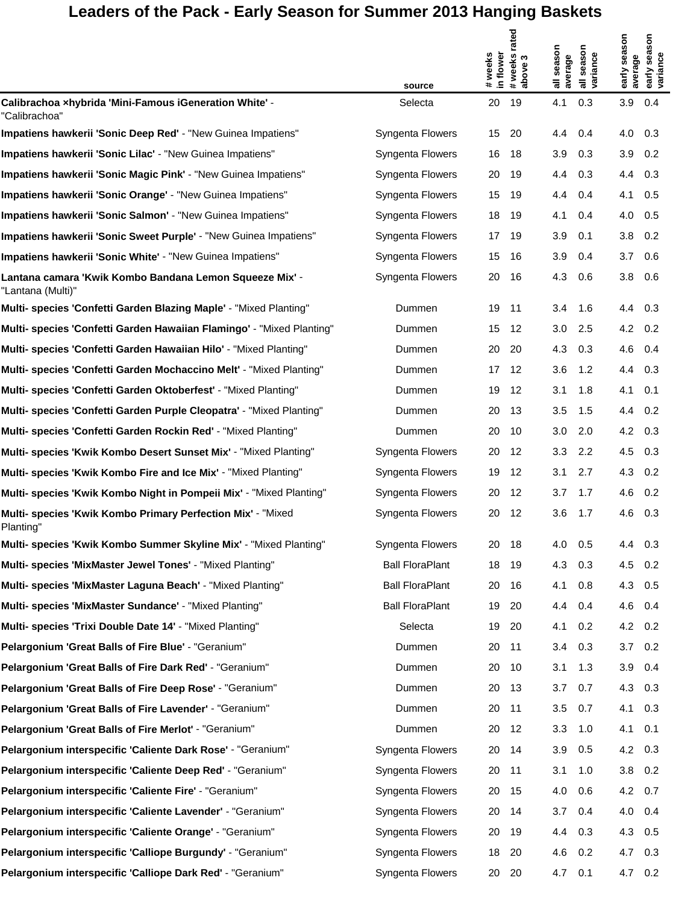## Leaders of the Pack - Early Season for Summer 2013 Hanging Baskets

|                                                                              | source                 | # weeks<br>in flower | rated<br># weeks r<br>  above 3 | season<br>average | season<br>all seasor<br>variance | early season<br>average | season<br>early sea<br>variance |
|------------------------------------------------------------------------------|------------------------|----------------------|---------------------------------|-------------------|----------------------------------|-------------------------|---------------------------------|
| Calibrachoa xhybrida 'Mini-Famous iGeneration White' -<br>"Calibrachoa"      | Selecta                | 20                   | 19                              | 4.1               | 0.3                              | 3.9                     | 0.4                             |
| Impatiens hawkerii 'Sonic Deep Red' - "New Guinea Impatiens"                 | Syngenta Flowers       | 15                   | 20                              | 4.4               | 0.4                              | 4.0                     | 0.3                             |
| Impatiens hawkerii 'Sonic Lilac' - "New Guinea Impatiens"                    | Syngenta Flowers       | 16                   | 18                              | 3.9               | 0.3                              | 3.9                     | 0.2                             |
| Impatiens hawkerii 'Sonic Magic Pink' - "New Guinea Impatiens"               | Syngenta Flowers       | 20                   | 19                              | 4.4               | 0.3                              | 4.4                     | 0.3                             |
| Impatiens hawkerii 'Sonic Orange' - "New Guinea Impatiens"                   | Syngenta Flowers       | 15                   | 19                              | 4.4               | 0.4                              | 4.1                     | 0.5                             |
| Impatiens hawkerii 'Sonic Salmon' - "New Guinea Impatiens"                   | Syngenta Flowers       | 18                   | 19                              | 4.1               | 0.4                              | 4.0                     | 0.5                             |
| Impatiens hawkerii 'Sonic Sweet Purple' - "New Guinea Impatiens"             | Syngenta Flowers       | 17                   | 19                              | 3.9               | 0.1                              | 3.8                     | 0.2                             |
| Impatiens hawkerii 'Sonic White' - "New Guinea Impatiens"                    | Syngenta Flowers       | 15                   | 16                              | 3.9               | 0.4                              | 3.7                     | 0.6                             |
| Lantana camara 'Kwik Kombo Bandana Lemon Squeeze Mix' -<br>"Lantana (Multi)" | Syngenta Flowers       | 20                   | 16                              | 4.3               | 0.6                              | 3.8                     | 0.6                             |
| Multi- species 'Confetti Garden Blazing Maple' - "Mixed Planting"            | Dummen                 | 19                   | 11                              | 3.4               | 1.6                              | 4.4                     | 0.3                             |
| Multi- species 'Confetti Garden Hawaiian Flamingo' - "Mixed Planting"        | Dummen                 | 15                   | 12                              | 3.0               | 2.5                              | 4.2                     | 0.2                             |
| Multi- species 'Confetti Garden Hawaiian Hilo' - "Mixed Planting"            | Dummen                 | 20                   | -20                             | 4.3               | 0.3                              | 4.6                     | 0.4                             |
| Multi- species 'Confetti Garden Mochaccino Melt' - "Mixed Planting"          | Dummen                 | 17                   | 12                              | 3.6               | 1.2                              | 4.4                     | 0.3                             |
| Multi- species 'Confetti Garden Oktoberfest' - "Mixed Planting"              | Dummen                 | 19                   | -12                             | 3.1               | 1.8                              | 4.1                     | 0.1                             |
| Multi- species 'Confetti Garden Purple Cleopatra' - "Mixed Planting"         | Dummen                 | 20                   | -13                             | 3.5               | 1.5                              | 4.4                     | 0.2                             |
| Multi- species 'Confetti Garden Rockin Red' - "Mixed Planting"               | Dummen                 | 20                   | 10                              | 3.0               | 2.0                              | 4.2                     | 0.3                             |
| Multi- species 'Kwik Kombo Desert Sunset Mix' - "Mixed Planting"             | Syngenta Flowers       | 20                   | -12                             | 3.3               | 2.2                              | 4.5                     | 0.3                             |
| Multi- species 'Kwik Kombo Fire and Ice Mix' - "Mixed Planting"              | Syngenta Flowers       | 19                   | 12                              | 3.1               | 2.7                              | 4.3                     | 0.2                             |
| Multi- species 'Kwik Kombo Night in Pompeii Mix' - "Mixed Planting"          | Syngenta Flowers       | 20                   | -12                             | 3.7               | 1.7                              | 4.6                     | 0.2                             |
| Multi- species 'Kwik Kombo Primary Perfection Mix' - "Mixed<br>Planting"     | Syngenta Flowers       | 20                   | 12                              | 3.6               | 1.7                              | 4.6                     | 0.3                             |
| Multi- species 'Kwik Kombo Summer Skyline Mix' - "Mixed Planting             | Syngenta Flowers       | 20                   | 18                              | 4.0               | 0.5                              | 4.4                     | 0.3                             |
| Multi- species 'MixMaster Jewel Tones' - "Mixed Planting"                    | <b>Ball FloraPlant</b> | 18                   | 19                              | 4.3               | 0.3                              | 4.5                     | 0.2                             |
| Multi- species 'MixMaster Laguna Beach' - "Mixed Planting"                   | <b>Ball FloraPlant</b> | 20                   | 16                              | 4.1               | 0.8                              | 4.3                     | 0.5                             |
| Multi- species 'MixMaster Sundance' - "Mixed Planting"                       | <b>Ball FloraPlant</b> | 19                   | 20                              | 4.4               | 0.4                              | 4.6                     | 0.4                             |
| Multi- species 'Trixi Double Date 14' - "Mixed Planting"                     | Selecta                | 19                   | 20                              | 4.1               | 0.2                              | 4.2                     | 0.2                             |
| Pelargonium 'Great Balls of Fire Blue' - "Geranium"                          | Dummen                 | 20                   | 11                              | 3.4               | 0.3                              | 3.7                     | 0.2                             |
| Pelargonium 'Great Balls of Fire Dark Red' - "Geranium"                      | Dummen                 | 20                   | 10                              | 3.1               | 1.3                              | 3.9                     | 0.4                             |
| Pelargonium 'Great Balls of Fire Deep Rose' - "Geranium"                     | Dummen                 | 20                   | 13                              | 3.7               | 0.7                              | 4.3                     | 0.3                             |
| Pelargonium 'Great Balls of Fire Lavender' - "Geranium"                      | Dummen                 | 20                   | 11                              | 3.5               | 0.7                              | 4.1                     | 0.3                             |
| Pelargonium 'Great Balls of Fire Merlot' - "Geranium"                        | Dummen                 | 20                   | 12                              | 3.3               | 1.0                              | 4.1                     | 0.1                             |
| Pelargonium interspecific 'Caliente Dark Rose' - "Geranium"                  | Syngenta Flowers       | 20                   | 14                              | 3.9               | 0.5                              | 4.2                     | 0.3                             |
| Pelargonium interspecific 'Caliente Deep Red' - "Geranium"                   | Syngenta Flowers       | 20                   | 11                              | 3.1               | 1.0                              | 3.8                     | 0.2                             |
| Pelargonium interspecific 'Caliente Fire' - "Geranium"                       | Syngenta Flowers       | 20                   | 15                              | 4.0               | 0.6                              | 4.2                     | 0.7                             |
| Pelargonium interspecific 'Caliente Lavender' - "Geranium"                   | Syngenta Flowers       | 20                   | 14                              | 3.7               | 0.4                              | 4.0                     | 0.4                             |
| Pelargonium interspecific 'Caliente Orange' - "Geranium"                     | Syngenta Flowers       | 20                   | 19                              | 4.4               | 0.3                              | 4.3                     | 0.5                             |
| Pelargonium interspecific 'Calliope Burgundy' - "Geranium"                   | Syngenta Flowers       | 18                   | 20                              | 4.6               | 0.2                              | 4.7                     | 0.3                             |
| Pelargonium interspecific 'Calliope Dark Red' - "Geranium"                   | Syngenta Flowers       | 20                   | 20                              | 4.7               | 0.1                              | 4.7                     | 0.2                             |